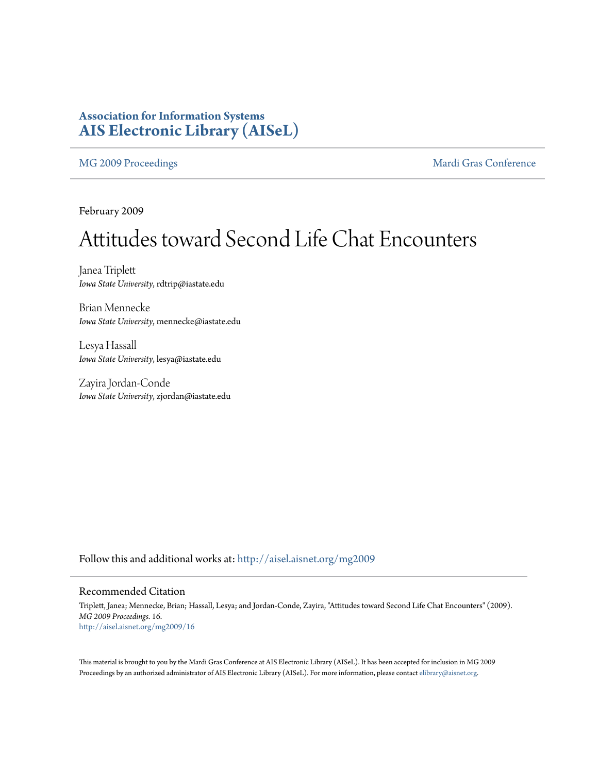## **Association for Information Systems [AIS Electronic Library \(AISeL\)](http://aisel.aisnet.org?utm_source=aisel.aisnet.org%2Fmg2009%2F16&utm_medium=PDF&utm_campaign=PDFCoverPages)**

[MG 2009 Proceedings](http://aisel.aisnet.org/mg2009?utm_source=aisel.aisnet.org%2Fmg2009%2F16&utm_medium=PDF&utm_campaign=PDFCoverPages) **[Mardi Gras Conference](http://aisel.aisnet.org/mg?utm_source=aisel.aisnet.org%2Fmg2009%2F16&utm_medium=PDF&utm_campaign=PDFCoverPages)** Mardi Gras Conference

February 2009

# Attitudes toward Second Life Chat Encounters

Janea Triplett *Iowa State University*, rdtrip@iastate.edu

Brian Mennecke *Iowa State University*, mennecke@iastate.edu

Lesya Hassall *Iowa State University*, lesya@iastate.edu

Zayira Jordan-Conde *Iowa State University*, zjordan@iastate.edu

Follow this and additional works at: [http://aisel.aisnet.org/mg2009](http://aisel.aisnet.org/mg2009?utm_source=aisel.aisnet.org%2Fmg2009%2F16&utm_medium=PDF&utm_campaign=PDFCoverPages)

#### Recommended Citation

Triplett, Janea; Mennecke, Brian; Hassall, Lesya; and Jordan-Conde, Zayira, "Attitudes toward Second Life Chat Encounters" (2009). *MG 2009 Proceedings*. 16. [http://aisel.aisnet.org/mg2009/16](http://aisel.aisnet.org/mg2009/16?utm_source=aisel.aisnet.org%2Fmg2009%2F16&utm_medium=PDF&utm_campaign=PDFCoverPages)

This material is brought to you by the Mardi Gras Conference at AIS Electronic Library (AISeL). It has been accepted for inclusion in MG 2009 Proceedings by an authorized administrator of AIS Electronic Library (AISeL). For more information, please contact [elibrary@aisnet.org](mailto:elibrary@aisnet.org%3E).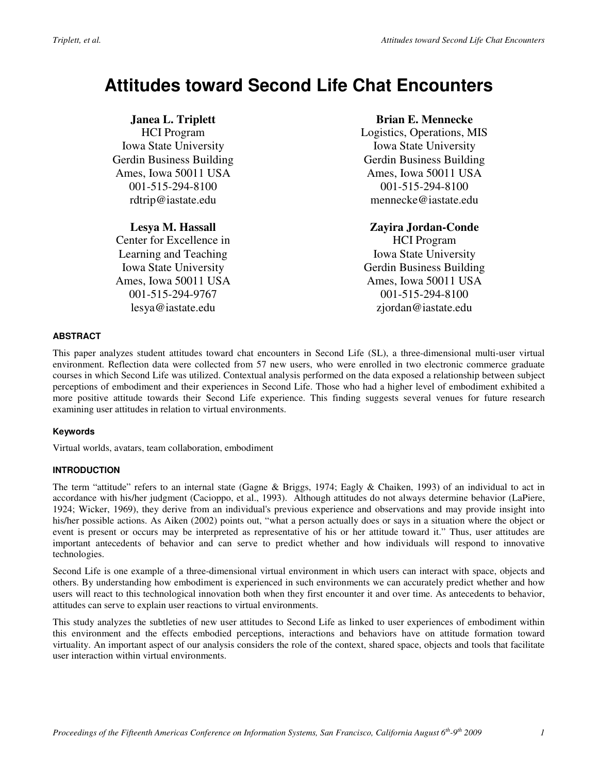# **Attitudes toward Second Life Chat Encounters**

### **Janea L. Triplett**

HCI Program Iowa State University Gerdin Business Building Ames, Iowa 50011 USA 001-515-294-8100 rdtrip@iastate.edu

#### **Lesya M. Hassall**

Center for Excellence in Learning and Teaching Iowa State University Ames, Iowa 50011 USA 001-515-294-9767 lesya@iastate.edu

#### **Brian E. Mennecke**

Logistics, Operations, MIS Iowa State University Gerdin Business Building Ames, Iowa 50011 USA 001-515-294-8100 mennecke@iastate.edu

#### **Zayira Jordan-Conde**

HCI Program Iowa State University Gerdin Business Building Ames, Iowa 50011 USA 001-515-294-8100 zjordan@iastate.edu

#### **ABSTRACT**

This paper analyzes student attitudes toward chat encounters in Second Life (SL), a three-dimensional multi-user virtual environment. Reflection data were collected from 57 new users, who were enrolled in two electronic commerce graduate courses in which Second Life was utilized. Contextual analysis performed on the data exposed a relationship between subject perceptions of embodiment and their experiences in Second Life. Those who had a higher level of embodiment exhibited a more positive attitude towards their Second Life experience. This finding suggests several venues for future research examining user attitudes in relation to virtual environments.

#### **Keywords**

Virtual worlds, avatars, team collaboration, embodiment

#### **INTRODUCTION**

The term "attitude" refers to an internal state (Gagne & Briggs, 1974; Eagly & Chaiken, 1993) of an individual to act in accordance with his/her judgment (Cacioppo, et al., 1993). Although attitudes do not always determine behavior (LaPiere, 1924; Wicker, 1969), they derive from an individual's previous experience and observations and may provide insight into his/her possible actions. As Aiken (2002) points out, "what a person actually does or says in a situation where the object or event is present or occurs may be interpreted as representative of his or her attitude toward it." Thus, user attitudes are important antecedents of behavior and can serve to predict whether and how individuals will respond to innovative technologies.

Second Life is one example of a three-dimensional virtual environment in which users can interact with space, objects and others. By understanding how embodiment is experienced in such environments we can accurately predict whether and how users will react to this technological innovation both when they first encounter it and over time. As antecedents to behavior, attitudes can serve to explain user reactions to virtual environments.

This study analyzes the subtleties of new user attitudes to Second Life as linked to user experiences of embodiment within this environment and the effects embodied perceptions, interactions and behaviors have on attitude formation toward virtuality. An important aspect of our analysis considers the role of the context, shared space, objects and tools that facilitate user interaction within virtual environments.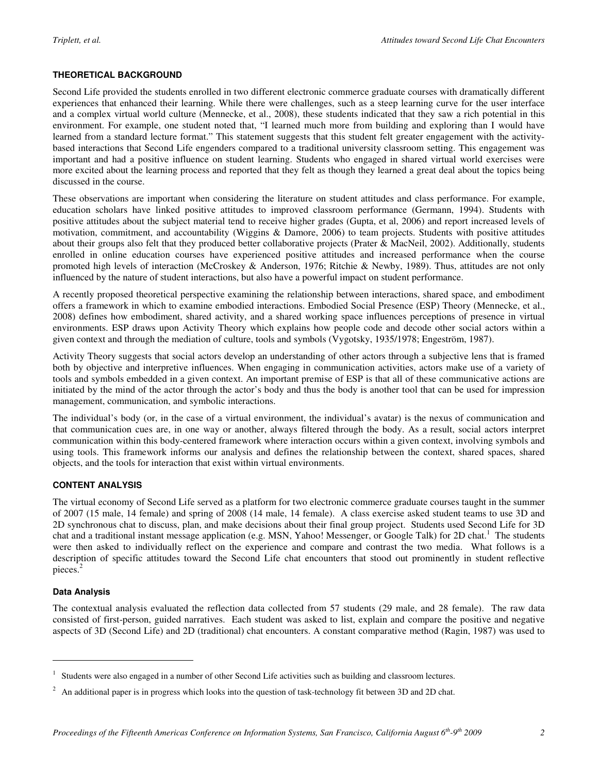#### **THEORETICAL BACKGROUND**

Second Life provided the students enrolled in two different electronic commerce graduate courses with dramatically different experiences that enhanced their learning. While there were challenges, such as a steep learning curve for the user interface and a complex virtual world culture (Mennecke, et al., 2008), these students indicated that they saw a rich potential in this environment. For example, one student noted that, "I learned much more from building and exploring than I would have learned from a standard lecture format." This statement suggests that this student felt greater engagement with the activitybased interactions that Second Life engenders compared to a traditional university classroom setting. This engagement was important and had a positive influence on student learning. Students who engaged in shared virtual world exercises were more excited about the learning process and reported that they felt as though they learned a great deal about the topics being discussed in the course.

These observations are important when considering the literature on student attitudes and class performance. For example, education scholars have linked positive attitudes to improved classroom performance (Germann, 1994). Students with positive attitudes about the subject material tend to receive higher grades (Gupta, et al, 2006) and report increased levels of motivation, commitment, and accountability (Wiggins & Damore, 2006) to team projects. Students with positive attitudes about their groups also felt that they produced better collaborative projects (Prater & MacNeil, 2002). Additionally, students enrolled in online education courses have experienced positive attitudes and increased performance when the course promoted high levels of interaction (McCroskey & Anderson, 1976; Ritchie & Newby, 1989). Thus, attitudes are not only influenced by the nature of student interactions, but also have a powerful impact on student performance.

A recently proposed theoretical perspective examining the relationship between interactions, shared space, and embodiment offers a framework in which to examine embodied interactions. Embodied Social Presence (ESP) Theory (Mennecke, et al., 2008) defines how embodiment, shared activity, and a shared working space influences perceptions of presence in virtual environments. ESP draws upon Activity Theory which explains how people code and decode other social actors within a given context and through the mediation of culture, tools and symbols (Vygotsky, 1935/1978; Engeström, 1987).

Activity Theory suggests that social actors develop an understanding of other actors through a subjective lens that is framed both by objective and interpretive influences. When engaging in communication activities, actors make use of a variety of tools and symbols embedded in a given context. An important premise of ESP is that all of these communicative actions are initiated by the mind of the actor through the actor's body and thus the body is another tool that can be used for impression management, communication, and symbolic interactions.

The individual's body (or, in the case of a virtual environment, the individual's avatar) is the nexus of communication and that communication cues are, in one way or another, always filtered through the body. As a result, social actors interpret communication within this body-centered framework where interaction occurs within a given context, involving symbols and using tools. This framework informs our analysis and defines the relationship between the context, shared spaces, shared objects, and the tools for interaction that exist within virtual environments.

#### **CONTENT ANALYSIS**

The virtual economy of Second Life served as a platform for two electronic commerce graduate courses taught in the summer of 2007 (15 male, 14 female) and spring of 2008 (14 male, 14 female). A class exercise asked student teams to use 3D and 2D synchronous chat to discuss, plan, and make decisions about their final group project. Students used Second Life for 3D chat and a traditional instant message application (e.g. MSN, Yahoo! Messenger, or Google Talk) for 2D chat.<sup>1</sup> The students were then asked to individually reflect on the experience and compare and contrast the two media. What follows is a description of specific attitudes toward the Second Life chat encounters that stood out prominently in student reflective pieces.<sup>2</sup>

#### **Data Analysis**

 $\overline{a}$ 

The contextual analysis evaluated the reflection data collected from 57 students (29 male, and 28 female). The raw data consisted of first-person, guided narratives. Each student was asked to list, explain and compare the positive and negative aspects of 3D (Second Life) and 2D (traditional) chat encounters. A constant comparative method (Ragin, 1987) was used to

<sup>&</sup>lt;sup>1</sup> Students were also engaged in a number of other Second Life activities such as building and classroom lectures.

 $2$  An additional paper is in progress which looks into the question of task-technology fit between 3D and 2D chat.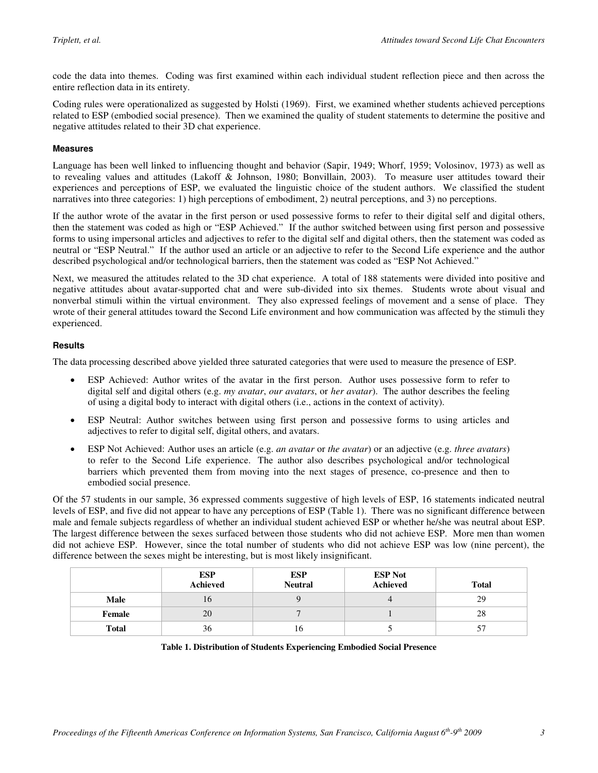code the data into themes. Coding was first examined within each individual student reflection piece and then across the entire reflection data in its entirety.

Coding rules were operationalized as suggested by Holsti (1969). First, we examined whether students achieved perceptions related to ESP (embodied social presence). Then we examined the quality of student statements to determine the positive and negative attitudes related to their 3D chat experience.

#### **Measures**

Language has been well linked to influencing thought and behavior (Sapir, 1949; Whorf, 1959; Volosinov, 1973) as well as to revealing values and attitudes (Lakoff & Johnson, 1980; Bonvillain, 2003). To measure user attitudes toward their experiences and perceptions of ESP, we evaluated the linguistic choice of the student authors. We classified the student narratives into three categories: 1) high perceptions of embodiment, 2) neutral perceptions, and 3) no perceptions.

If the author wrote of the avatar in the first person or used possessive forms to refer to their digital self and digital others, then the statement was coded as high or "ESP Achieved." If the author switched between using first person and possessive forms to using impersonal articles and adjectives to refer to the digital self and digital others, then the statement was coded as neutral or "ESP Neutral." If the author used an article or an adjective to refer to the Second Life experience and the author described psychological and/or technological barriers, then the statement was coded as "ESP Not Achieved."

Next, we measured the attitudes related to the 3D chat experience. A total of 188 statements were divided into positive and negative attitudes about avatar-supported chat and were sub-divided into six themes. Students wrote about visual and nonverbal stimuli within the virtual environment. They also expressed feelings of movement and a sense of place. They wrote of their general attitudes toward the Second Life environment and how communication was affected by the stimuli they experienced.

#### **Results**

The data processing described above yielded three saturated categories that were used to measure the presence of ESP.

- ESP Achieved: Author writes of the avatar in the first person. Author uses possessive form to refer to digital self and digital others (e.g. *my avatar*, *our avatars*, or *her avatar*). The author describes the feeling of using a digital body to interact with digital others (i.e., actions in the context of activity).
- ESP Neutral: Author switches between using first person and possessive forms to using articles and adjectives to refer to digital self, digital others, and avatars.
- ESP Not Achieved: Author uses an article (e.g. *an avatar* or *the avatar*) or an adjective (e.g. *three avatars*) to refer to the Second Life experience. The author also describes psychological and/or technological barriers which prevented them from moving into the next stages of presence, co-presence and then to embodied social presence.

Of the 57 students in our sample, 36 expressed comments suggestive of high levels of ESP, 16 statements indicated neutral levels of ESP, and five did not appear to have any perceptions of ESP (Table 1). There was no significant difference between male and female subjects regardless of whether an individual student achieved ESP or whether he/she was neutral about ESP. The largest difference between the sexes surfaced between those students who did not achieve ESP. More men than women did not achieve ESP. However, since the total number of students who did not achieve ESP was low (nine percent), the difference between the sexes might be interesting, but is most likely insignificant.

|              | ESP<br>Achieved | ESP<br>Neutral | <b>ESP Not</b><br>Achieved | <b>Total</b> |
|--------------|-----------------|----------------|----------------------------|--------------|
| Male         | 10              |                |                            | 29           |
| Female       | 20              |                |                            | 28           |
| <b>Total</b> | 36              | 10             |                            | ◡            |

#### **Table 1. Distribution of Students Experiencing Embodied Social Presence**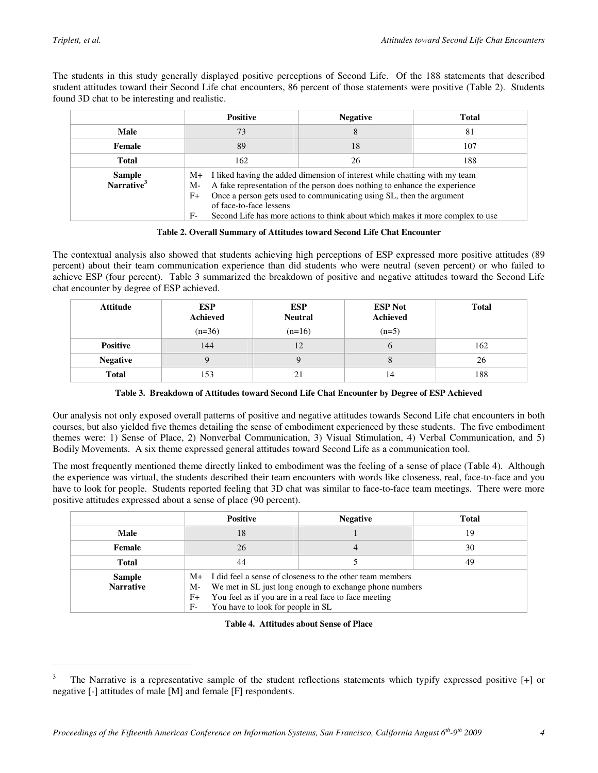$\overline{a}$ 

The students in this study generally displayed positive perceptions of Second Life. Of the 188 statements that described student attitudes toward their Second Life chat encounters, 86 percent of those statements were positive (Table 2). Students found 3D chat to be interesting and realistic.

|                                         | <b>Positive</b>                                                                                                                                                                                                                                                                                                                                                        | <b>Negative</b> | <b>Total</b> |
|-----------------------------------------|------------------------------------------------------------------------------------------------------------------------------------------------------------------------------------------------------------------------------------------------------------------------------------------------------------------------------------------------------------------------|-----------------|--------------|
| Male                                    | 73                                                                                                                                                                                                                                                                                                                                                                     | 8               | 81           |
| Female                                  | 18<br>89                                                                                                                                                                                                                                                                                                                                                               |                 | 107          |
| Total                                   | 162<br>188<br>26                                                                                                                                                                                                                                                                                                                                                       |                 |              |
| <b>Sample</b><br>Narrative <sup>3</sup> | M+ I liked having the added dimension of interest while chatting with my team<br>A fake representation of the person does nothing to enhance the experience<br>M-<br>Once a person gets used to communicating using SL, then the argument<br>$F+$<br>of face-to-face lessens<br>$F-$<br>Second Life has more actions to think about which makes it more complex to use |                 |              |

**Table 2. Overall Summary of Attitudes toward Second Life Chat Encounter** 

The contextual analysis also showed that students achieving high perceptions of ESP expressed more positive attitudes (89 percent) about their team communication experience than did students who were neutral (seven percent) or who failed to achieve ESP (four percent). Table 3 summarized the breakdown of positive and negative attitudes toward the Second Life chat encounter by degree of ESP achieved.

| <b>Attitude</b> | <b>ESP</b><br><b>Achieved</b> | <b>ESP</b><br><b>Neutral</b> | <b>ESP Not</b><br>Achieved | <b>Total</b> |
|-----------------|-------------------------------|------------------------------|----------------------------|--------------|
|                 | $(n=36)$                      | $(n=16)$                     | $(n=5)$                    |              |
| <b>Positive</b> | 144                           | 12                           | $\sigma$                   | 162          |
| <b>Negative</b> |                               |                              | Õ                          | 26           |
| <b>Total</b>    | 153                           | 21                           | 14                         | 188          |

**Table 3. Breakdown of Attitudes toward Second Life Chat Encounter by Degree of ESP Achieved** 

Our analysis not only exposed overall patterns of positive and negative attitudes towards Second Life chat encounters in both courses, but also yielded five themes detailing the sense of embodiment experienced by these students. The five embodiment themes were: 1) Sense of Place, 2) Nonverbal Communication, 3) Visual Stimulation, 4) Verbal Communication, and 5) Bodily Movements. A six theme expressed general attitudes toward Second Life as a communication tool.

The most frequently mentioned theme directly linked to embodiment was the feeling of a sense of place (Table 4). Although the experience was virtual, the students described their team encounters with words like closeness, real, face-to-face and you have to look for people. Students reported feeling that 3D chat was similar to face-to-face team meetings. There were more positive attitudes expressed about a sense of place (90 percent).

|                                   | <b>Positive</b>                                                                                                                                                                                                                                 | <b>Negative</b> | <b>Total</b> |
|-----------------------------------|-------------------------------------------------------------------------------------------------------------------------------------------------------------------------------------------------------------------------------------------------|-----------------|--------------|
| Male                              | 18                                                                                                                                                                                                                                              |                 | 19           |
| Female                            | 26                                                                                                                                                                                                                                              | 4               | 30           |
| <b>Total</b>                      | 49<br>44                                                                                                                                                                                                                                        |                 |              |
| <b>Sample</b><br><b>Narrative</b> | $M+$ I did feel a sense of closeness to the other team members<br>We met in SL just long enough to exchange phone numbers<br>$M-$<br>You feel as if you are in a real face to face meeting<br>$F+$<br>You have to look for people in SL<br>$F-$ |                 |              |

**Table 4. Attitudes about Sense of Place** 

<sup>3</sup> The Narrative is a representative sample of the student reflections statements which typify expressed positive [+] or negative [-] attitudes of male [M] and female [F] respondents.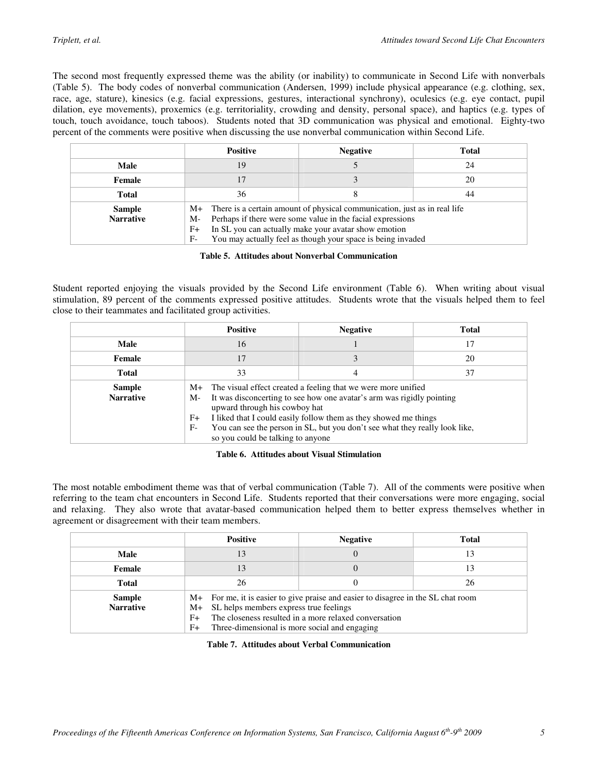The second most frequently expressed theme was the ability (or inability) to communicate in Second Life with nonverbals (Table 5). The body codes of nonverbal communication (Andersen, 1999) include physical appearance (e.g. clothing, sex, race, age, stature), kinesics (e.g. facial expressions, gestures, interactional synchrony), oculesics (e.g. eye contact, pupil dilation, eye movements), proxemics (e.g. territoriality, crowding and density, personal space), and haptics (e.g. types of touch, touch avoidance, touch taboos). Students noted that 3D communication was physical and emotional. Eighty-two percent of the comments were positive when discussing the use nonverbal communication within Second Life.

|                                   | <b>Positive</b>                                                                                                                                                                                                                                                                                 | <b>Negative</b> | <b>Total</b> |
|-----------------------------------|-------------------------------------------------------------------------------------------------------------------------------------------------------------------------------------------------------------------------------------------------------------------------------------------------|-----------------|--------------|
| Male                              | 19                                                                                                                                                                                                                                                                                              |                 | 24           |
| Female                            |                                                                                                                                                                                                                                                                                                 |                 | 20           |
| <b>Total</b>                      | 36                                                                                                                                                                                                                                                                                              |                 | 44           |
| <b>Sample</b><br><b>Narrative</b> | There is a certain amount of physical communication, just as in real life<br>$M_{+}$<br>Perhaps if there were some value in the facial expressions<br>M-<br>In SL you can actually make your avatar show emotion<br>$F+$<br>You may actually feel as though your space is being invaded<br>$F-$ |                 |              |

**Table 5. Attitudes about Nonverbal Communication** 

Student reported enjoying the visuals provided by the Second Life environment (Table 6). When writing about visual stimulation, 89 percent of the comments expressed positive attitudes. Students wrote that the visuals helped them to feel close to their teammates and facilitated group activities.

|                                   | <b>Positive</b>                                                    | <b>Negative</b>                                                                                                                                                                                                                                                                                                            | <b>Total</b> |  |
|-----------------------------------|--------------------------------------------------------------------|----------------------------------------------------------------------------------------------------------------------------------------------------------------------------------------------------------------------------------------------------------------------------------------------------------------------------|--------------|--|
| Male                              | 16                                                                 |                                                                                                                                                                                                                                                                                                                            | 17           |  |
| Female                            | 17                                                                 |                                                                                                                                                                                                                                                                                                                            | 20           |  |
| <b>Total</b>                      | 33                                                                 | 4                                                                                                                                                                                                                                                                                                                          | 37           |  |
| <b>Sample</b><br><b>Narrative</b> | $M_{+}$<br>M-<br>$F+$<br>$F-$<br>so you could be talking to anyone | The visual effect created a feeling that we were more unified<br>It was disconcerting to see how one avatar's arm was rigidly pointing<br>upward through his cowboy hat<br>I liked that I could easily follow them as they showed me things<br>You can see the person in SL, but you don't see what they really look like, |              |  |

#### **Table 6. Attitudes about Visual Stimulation**

The most notable embodiment theme was that of verbal communication (Table 7). All of the comments were positive when referring to the team chat encounters in Second Life. Students reported that their conversations were more engaging, social and relaxing. They also wrote that avatar-based communication helped them to better express themselves whether in agreement or disagreement with their team members.

|                                   | <b>Positive</b>                                                                                                                                                                                                                                                  | <b>Negative</b> | <b>Total</b> |
|-----------------------------------|------------------------------------------------------------------------------------------------------------------------------------------------------------------------------------------------------------------------------------------------------------------|-----------------|--------------|
| Male                              | 13                                                                                                                                                                                                                                                               | $\Omega$        |              |
| Female                            | 13                                                                                                                                                                                                                                                               |                 |              |
| <b>Total</b>                      | 26<br>26                                                                                                                                                                                                                                                         |                 |              |
| <b>Sample</b><br><b>Narrative</b> | M+ For me, it is easier to give praise and easier to disagree in the SL chat room<br>SL helps members express true feelings<br>$M_{+}$<br>The closeness resulted in a more relaxed conversation<br>$F+$<br>Three-dimensional is more social and engaging<br>$F+$ |                 |              |

**Table 7. Attitudes about Verbal Communication**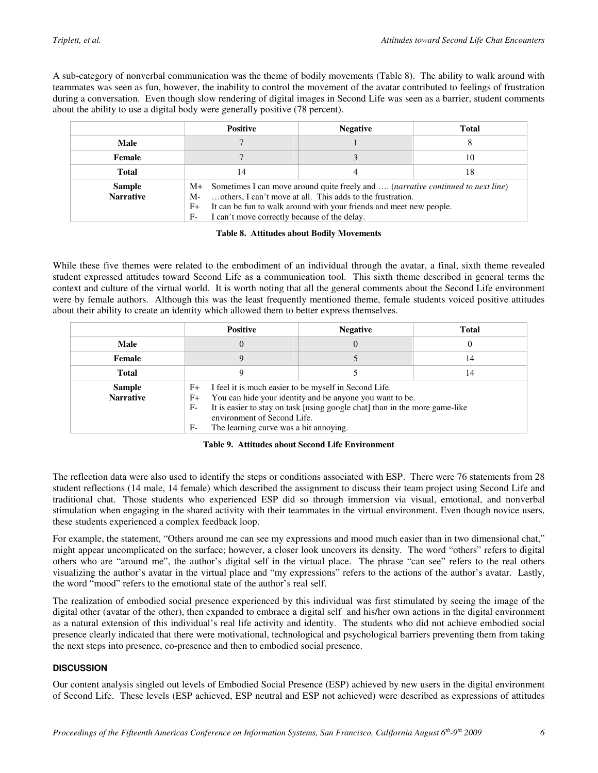A sub-category of nonverbal communication was the theme of bodily movements (Table 8). The ability to walk around with teammates was seen as fun, however, the inability to control the movement of the avatar contributed to feelings of frustration during a conversation. Even though slow rendering of digital images in Second Life was seen as a barrier, student comments about the ability to use a digital body were generally positive (78 percent).

|                                   | <b>Positive</b>                                                                                                                                                                                                                                                                                 | <b>Negative</b> | <b>Total</b> |
|-----------------------------------|-------------------------------------------------------------------------------------------------------------------------------------------------------------------------------------------------------------------------------------------------------------------------------------------------|-----------------|--------------|
| Male                              |                                                                                                                                                                                                                                                                                                 |                 |              |
| Female                            |                                                                                                                                                                                                                                                                                                 |                 | 10           |
| Total                             | 18<br>14                                                                                                                                                                                                                                                                                        |                 |              |
| <b>Sample</b><br><b>Narrative</b> | M+ Sometimes I can move around quite freely and , (narrative continued to next line)<br>others, I can't move at all. This adds to the frustration.<br>M-<br>It can be fun to walk around with your friends and meet new people.<br>$F+$<br>I can't move correctly because of the delay.<br>$F-$ |                 |              |

**Table 8. Attitudes about Bodily Movements** 

While these five themes were related to the embodiment of an individual through the avatar, a final, sixth theme revealed student expressed attitudes toward Second Life as a communication tool. This sixth theme described in general terms the context and culture of the virtual world. It is worth noting that all the general comments about the Second Life environment were by female authors. Although this was the least frequently mentioned theme, female students voiced positive attitudes about their ability to create an identity which allowed them to better express themselves.

|                                   | <b>Positive</b>                                                                                                                                                                                                                                                                                           | <b>Negative</b> | Total |
|-----------------------------------|-----------------------------------------------------------------------------------------------------------------------------------------------------------------------------------------------------------------------------------------------------------------------------------------------------------|-----------------|-------|
| Male                              |                                                                                                                                                                                                                                                                                                           | $\Omega$        |       |
| Female                            |                                                                                                                                                                                                                                                                                                           |                 | 14    |
| <b>Total</b>                      |                                                                                                                                                                                                                                                                                                           |                 | 14    |
| <b>Sample</b><br><b>Narrative</b> | I feel it is much easier to be myself in Second Life.<br>$F+$<br>You can hide your identity and be anyone you want to be.<br>$F+$<br>It is easier to stay on task [using google chat] than in the more game-like<br>$F-$<br>environment of Second Life.<br>The learning curve was a bit annoying.<br>$F-$ |                 |       |

**Table 9. Attitudes about Second Life Environment** 

The reflection data were also used to identify the steps or conditions associated with ESP. There were 76 statements from 28 student reflections (14 male, 14 female) which described the assignment to discuss their team project using Second Life and traditional chat. Those students who experienced ESP did so through immersion via visual, emotional, and nonverbal stimulation when engaging in the shared activity with their teammates in the virtual environment. Even though novice users, these students experienced a complex feedback loop.

For example, the statement, "Others around me can see my expressions and mood much easier than in two dimensional chat," might appear uncomplicated on the surface; however, a closer look uncovers its density. The word "others" refers to digital others who are "around me", the author's digital self in the virtual place. The phrase "can see" refers to the real others visualizing the author's avatar in the virtual place and "my expressions" refers to the actions of the author's avatar. Lastly, the word "mood" refers to the emotional state of the author's real self.

The realization of embodied social presence experienced by this individual was first stimulated by seeing the image of the digital other (avatar of the other), then expanded to embrace a digital self and his/her own actions in the digital environment as a natural extension of this individual's real life activity and identity. The students who did not achieve embodied social presence clearly indicated that there were motivational, technological and psychological barriers preventing them from taking the next steps into presence, co-presence and then to embodied social presence.

#### **DISCUSSION**

Our content analysis singled out levels of Embodied Social Presence (ESP) achieved by new users in the digital environment of Second Life. These levels (ESP achieved, ESP neutral and ESP not achieved) were described as expressions of attitudes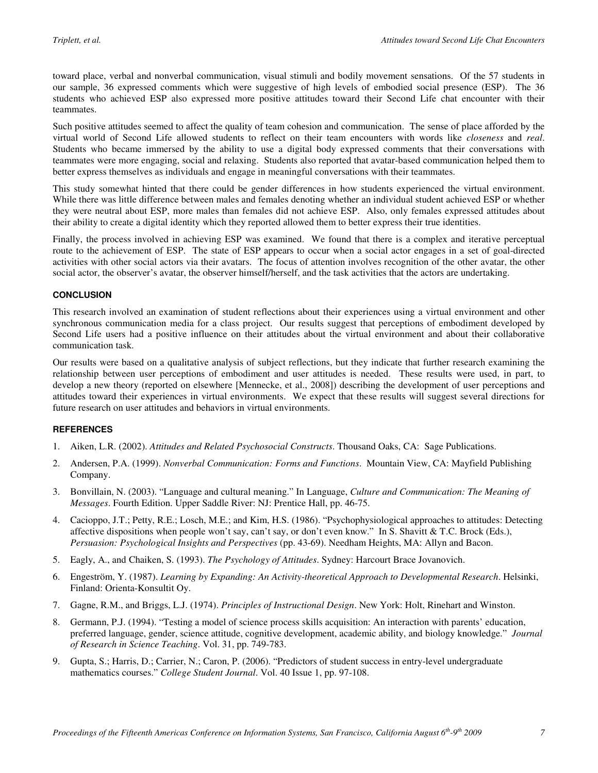toward place, verbal and nonverbal communication, visual stimuli and bodily movement sensations. Of the 57 students in our sample, 36 expressed comments which were suggestive of high levels of embodied social presence (ESP). The 36 students who achieved ESP also expressed more positive attitudes toward their Second Life chat encounter with their teammates.

Such positive attitudes seemed to affect the quality of team cohesion and communication. The sense of place afforded by the virtual world of Second Life allowed students to reflect on their team encounters with words like *closeness* and *real*. Students who became immersed by the ability to use a digital body expressed comments that their conversations with teammates were more engaging, social and relaxing. Students also reported that avatar-based communication helped them to better express themselves as individuals and engage in meaningful conversations with their teammates.

This study somewhat hinted that there could be gender differences in how students experienced the virtual environment. While there was little difference between males and females denoting whether an individual student achieved ESP or whether they were neutral about ESP, more males than females did not achieve ESP. Also, only females expressed attitudes about their ability to create a digital identity which they reported allowed them to better express their true identities.

Finally, the process involved in achieving ESP was examined. We found that there is a complex and iterative perceptual route to the achievement of ESP. The state of ESP appears to occur when a social actor engages in a set of goal-directed activities with other social actors via their avatars. The focus of attention involves recognition of the other avatar, the other social actor, the observer's avatar, the observer himself/herself, and the task activities that the actors are undertaking.

#### **CONCLUSION**

This research involved an examination of student reflections about their experiences using a virtual environment and other synchronous communication media for a class project. Our results suggest that perceptions of embodiment developed by Second Life users had a positive influence on their attitudes about the virtual environment and about their collaborative communication task.

Our results were based on a qualitative analysis of subject reflections, but they indicate that further research examining the relationship between user perceptions of embodiment and user attitudes is needed. These results were used, in part, to develop a new theory (reported on elsewhere [Mennecke, et al., 2008]) describing the development of user perceptions and attitudes toward their experiences in virtual environments. We expect that these results will suggest several directions for future research on user attitudes and behaviors in virtual environments.

#### **REFERENCES**

- 1. Aiken, L.R. (2002). *Attitudes and Related Psychosocial Constructs*. Thousand Oaks, CA: Sage Publications.
- 2. Andersen, P.A. (1999). *Nonverbal Communication: Forms and Functions*. Mountain View, CA: Mayfield Publishing Company.
- 3. Bonvillain, N. (2003). "Language and cultural meaning." In Language, *Culture and Communication: The Meaning of Messages*. Fourth Edition. Upper Saddle River: NJ: Prentice Hall, pp. 46-75.
- 4. Cacioppo, J.T.; Petty, R.E.; Losch, M.E.; and Kim, H.S. (1986). "Psychophysiological approaches to attitudes: Detecting affective dispositions when people won't say, can't say, or don't even know." In S. Shavitt & T.C. Brock (Eds.), *Persuasion: Psychological Insights and Perspectives* (pp. 43-69). Needham Heights, MA: Allyn and Bacon.
- 5. Eagly, A., and Chaiken, S. (1993). *The Psychology of Attitudes*. Sydney: Harcourt Brace Jovanovich.
- 6. Engeström, Y. (1987). *Learning by Expanding: An Activity-theoretical Approach to Developmental Research*. Helsinki, Finland: Orienta-Konsultit Oy.
- 7. Gagne, R.M., and Briggs, L.J. (1974). *Principles of Instructional Design*. New York: Holt, Rinehart and Winston.
- 8. Germann, P.J. (1994). "Testing a model of science process skills acquisition: An interaction with parents' education, preferred language, gender, science attitude, cognitive development, academic ability, and biology knowledge." *Journal of Research in Science Teaching*. Vol. 31, pp. 749-783.
- 9. Gupta, S.; Harris, D.; Carrier, N.; Caron, P. (2006). "Predictors of student success in entry-level undergraduate mathematics courses." *College Student Journal*. Vol. 40 Issue 1, pp. 97-108.